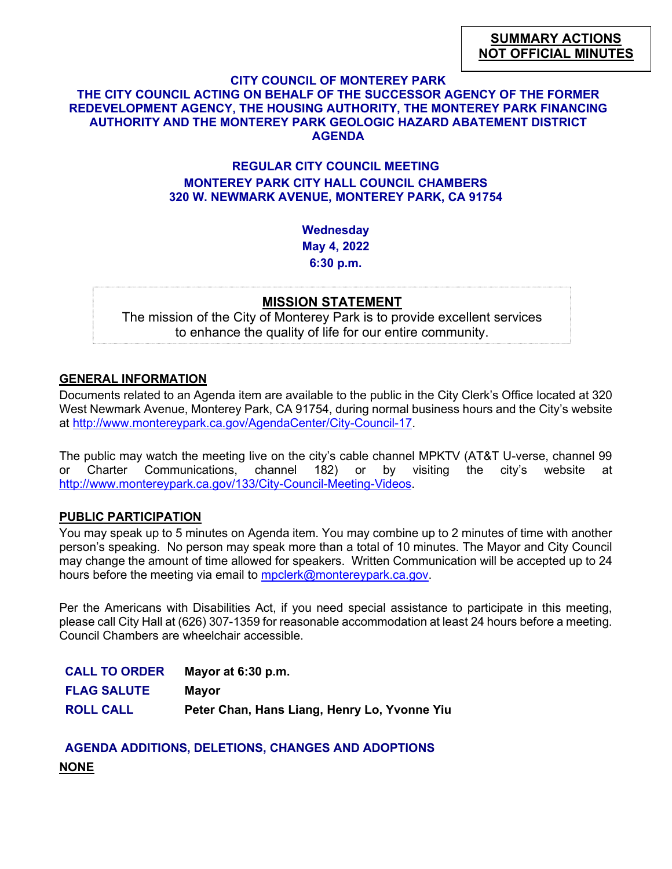#### **CITY COUNCIL OF MONTEREY PARK**

# **THE CITY COUNCIL ACTING ON BEHALF OF THE SUCCESSOR AGENCY OF THE FORMER REDEVELOPMENT AGENCY, THE HOUSING AUTHORITY, THE MONTEREY PARK FINANCING AUTHORITY AND THE MONTEREY PARK GEOLOGIC HAZARD ABATEMENT DISTRICT AGENDA**

## **REGULAR CITY COUNCIL MEETING MONTEREY PARK CITY HALL COUNCIL CHAMBERS 320 W. NEWMARK AVENUE, MONTEREY PARK, CA 91754**

**Wednesday May 4, 2022 6:30 p.m.**

#### **MISSION STATEMENT**

The mission of the City of Monterey Park is to provide excellent services to enhance the quality of life for our entire community.

#### **GENERAL INFORMATION**

Documents related to an Agenda item are available to the public in the City Clerk's Office located at 320 West Newmark Avenue, Monterey Park, CA 91754, during normal business hours and the City's website at [http://www.montereypark.ca.gov/AgendaCenter/City-Council-17.](http://www.montereypark.ca.gov/AgendaCenter/City-Council-17)

The public may watch the meeting live on the city's cable channel MPKTV (AT&T U-verse, channel 99 or Charter Communications, channel 182) or by visiting the city's website at [http://www.montereypark.ca.gov/133/City-Council-Meeting-Videos.](http://www.montereypark.ca.gov/133/City-Council-Meeting-Videos)

#### **PUBLIC PARTICIPATION**

You may speak up to 5 minutes on Agenda item. You may combine up to 2 minutes of time with another person's speaking. No person may speak more than a total of 10 minutes. The Mayor and City Council may change the amount of time allowed for speakers. Written Communication will be accepted up to 24 hours before the meeting via email to [mpclerk@montereypark.ca.gov.](mailto:mpclerk@montereypark.ca.gov)

Per the Americans with Disabilities Act, if you need special assistance to participate in this meeting, please call City Hall at (626) 307-1359 for reasonable accommodation at least 24 hours before a meeting. Council Chambers are wheelchair accessible.

| <b>CALL TO ORDER</b> | Mayor at 6:30 p.m.                           |
|----------------------|----------------------------------------------|
| <b>FLAG SALUTE</b>   | Mavor                                        |
| <b>ROLL CALL</b>     | Peter Chan, Hans Liang, Henry Lo, Yvonne Yiu |

**AGENDA ADDITIONS, DELETIONS, CHANGES AND ADOPTIONS NONE**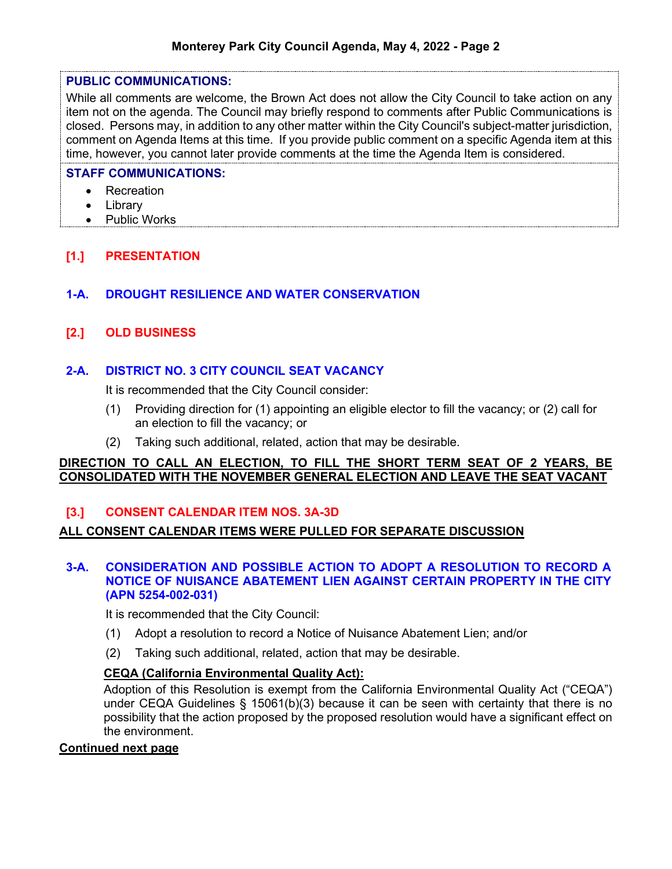#### **PUBLIC COMMUNICATIONS:**

While all comments are welcome, the Brown Act does not allow the City Council to take action on any item not on the agenda. The Council may briefly respond to comments after Public Communications is closed. Persons may, in addition to any other matter within the City Council's subject-matter jurisdiction, comment on Agenda Items at this time. If you provide public comment on a specific Agenda item at this time, however, you cannot later provide comments at the time the Agenda Item is considered.

#### **STAFF COMMUNICATIONS:**

- Recreation
- Library
- Public Works

# **[1.] PRESENTATION**

# **1-A. DROUGHT RESILIENCE AND WATER CONSERVATION**

# **[2.] OLD BUSINESS**

# **2-A. DISTRICT NO. 3 CITY COUNCIL SEAT VACANCY**

It is recommended that the City Council consider:

- (1) Providing direction for (1) appointing an eligible elector to fill the vacancy; or (2) call for an election to fill the vacancy; or
- (2) Taking such additional, related, action that may be desirable.

#### **DIRECTION TO CALL AN ELECTION, TO FILL THE SHORT TERM SEAT OF 2 YEARS, BE CONSOLIDATED WITH THE NOVEMBER GENERAL ELECTION AND LEAVE THE SEAT VACANT**

# **[3.] CONSENT CALENDAR ITEM NOS. 3A-3D**

### **ALL CONSENT CALENDAR ITEMS WERE PULLED FOR SEPARATE DISCUSSION**

#### **3-A. CONSIDERATION AND POSSIBLE ACTION TO ADOPT A RESOLUTION TO RECORD A NOTICE OF NUISANCE ABATEMENT LIEN AGAINST CERTAIN PROPERTY IN THE CITY (APN 5254-002-031)**

It is recommended that the City Council:

- (1) Adopt a resolution to record a Notice of Nuisance Abatement Lien; and/or
- (2) Taking such additional, related, action that may be desirable.

### **CEQA (California Environmental Quality Act):**

Adoption of this Resolution is exempt from the California Environmental Quality Act ("CEQA") under CEQA Guidelines § 15061(b)(3) because it can be seen with certainty that there is no possibility that the action proposed by the proposed resolution would have a significant effect on the environment.

#### **Continued next page**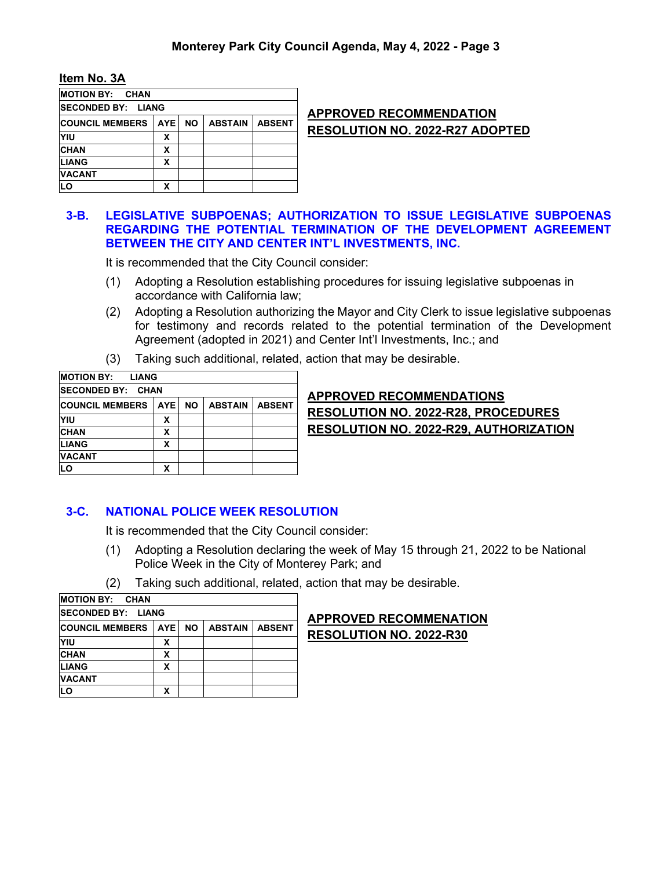#### **Item No. 3A**

| <b>MOTION BY: CHAN</b>     |            |           |                |               |
|----------------------------|------------|-----------|----------------|---------------|
| <b>ISECONDED BY: LIANG</b> |            |           |                |               |
| <b>COUNCIL MEMBERS</b>     | <b>AYE</b> | <b>NO</b> | <b>ABSTAIN</b> | <b>ABSENT</b> |
| YIU                        | x          |           |                |               |
| <b>CHAN</b>                | х          |           |                |               |
| <b>LIANG</b>               | x          |           |                |               |
| <b>VACANT</b>              |            |           |                |               |
| LO                         | χ          |           |                |               |
|                            |            |           |                |               |

## **APPROVED RECOMMENDATION RESOLUTION NO. 2022-R27 ADOPTED**

#### **3-B. LEGISLATIVE SUBPOENAS; AUTHORIZATION TO ISSUE LEGISLATIVE SUBPOENAS REGARDING THE POTENTIAL TERMINATION OF THE DEVELOPMENT AGREEMENT BETWEEN THE CITY AND CENTER INT'L INVESTMENTS, INC.**

It is recommended that the City Council consider:

- (1) Adopting a Resolution establishing procedures for issuing legislative subpoenas in accordance with California law;
- (2) Adopting a Resolution authorizing the Mayor and City Clerk to issue legislative subpoenas for testimony and records related to the potential termination of the Development Agreement (adopted in 2021) and Center Int'l Investments, Inc.; and
- (3) Taking such additional, related, action that may be desirable.

| <b>MOTION BY: LIANG</b>   |       |           |                |               |
|---------------------------|-------|-----------|----------------|---------------|
| <b>ISECONDED BY: CHAN</b> |       |           |                |               |
| <b>COUNCIL MEMBERS</b>    | AYE I | <b>NO</b> | <b>ABSTAIN</b> | <b>ABSENT</b> |
| YIU                       | х     |           |                |               |
| <b>CHAN</b>               | x     |           |                |               |
| <b>LIANG</b>              | x     |           |                |               |
| <b>VACANT</b>             |       |           |                |               |
| LO                        | x     |           |                |               |

**APPROVED RECOMMENDATIONS RESOLUTION NO. 2022-R28, PROCEDURES RESOLUTION NO. 2022-R29, AUTHORIZATION**

### **3-C. NATIONAL POLICE WEEK RESOLUTION**

It is recommended that the City Council consider:

- (1) Adopting a Resolution declaring the week of May 15 through 21, 2022 to be National Police Week in the City of Monterey Park; and
- (2) Taking such additional, related, action that may be desirable.

| <b>MOTION BY: CHAN</b>                                                          |   |  |  |  |  |  |  |
|---------------------------------------------------------------------------------|---|--|--|--|--|--|--|
| <b>ISECONDED BY: LIANG</b>                                                      |   |  |  |  |  |  |  |
| AYE I<br><b>COUNCIL MEMBERS</b><br><b>NO</b><br><b>ABSTAIN</b><br><b>ABSENT</b> |   |  |  |  |  |  |  |
| YIU                                                                             | x |  |  |  |  |  |  |
| <b>CHAN</b>                                                                     | х |  |  |  |  |  |  |
| <b>LIANG</b>                                                                    | x |  |  |  |  |  |  |
| <b>VACANT</b>                                                                   |   |  |  |  |  |  |  |
| <b>LO</b>                                                                       | x |  |  |  |  |  |  |

# **APPROVED RECOMMENATION RESOLUTION NO. 2022-R30**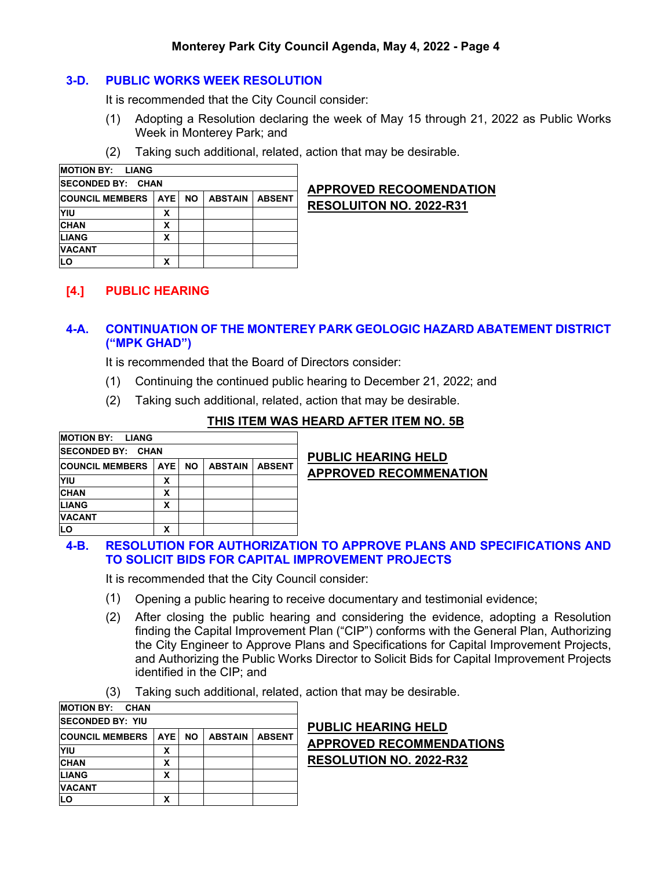### **Monterey Park City Council Agenda, May 4, 2022 - Page 4**

#### **3-D. PUBLIC WORKS WEEK RESOLUTION**

It is recommended that the City Council consider:

- (1) Adopting a Resolution declaring the week of May 15 through 21, 2022 as Public Works Week in Monterey Park; and
- (2) Taking such additional, related, action that may be desirable.

| <b>MOTION BY: LIANG</b>  |       |           |                |               |  |  |  |
|--------------------------|-------|-----------|----------------|---------------|--|--|--|
| <b>SECONDED BY: CHAN</b> |       |           |                |               |  |  |  |
| <b>COUNCIL MEMBERS</b>   | AYE I | <b>NO</b> | <b>ABSTAIN</b> | <b>ABSENT</b> |  |  |  |
| YIU                      | x     |           |                |               |  |  |  |
| <b>CHAN</b>              | x     |           |                |               |  |  |  |
| <b>LIANG</b>             | х     |           |                |               |  |  |  |
| <b>VACANT</b>            |       |           |                |               |  |  |  |
| LO                       | χ     |           |                |               |  |  |  |

# **APPROVED RECOOMENDATION RESOLUITON NO. 2022-R31**

# **[4.] PUBLIC HEARING**

# **4-A. CONTINUATION OF THE MONTEREY PARK GEOLOGIC HAZARD ABATEMENT DISTRICT ("MPK GHAD")**

It is recommended that the Board of Directors consider:

- (1) Continuing the continued public hearing to December 21, 2022; and
- (2) Taking such additional, related, action that may be desirable.

### **THIS ITEM WAS HEARD AFTER ITEM NO. 5B**

| <b>MOTION BY: LIANG</b>  |        |                |               |
|--------------------------|--------|----------------|---------------|
| <b>SECONDED BY: CHAN</b> |        |                |               |
| <b>COUNCIL MEMBERS</b>   | AYE NO | <b>ABSTAIN</b> | <b>ABSENT</b> |
| <b>YIU</b>               | х      |                |               |
| <b>CHAN</b>              | X      |                |               |
| <b>LIANG</b>             | x      |                |               |
| <b>VACANT</b>            |        |                |               |
| LO                       | χ      |                |               |

# **PUBLIC HEARING HELD APPROVED RECOMMENATION**

#### **4-B. RESOLUTION FOR AUTHORIZATION TO APPROVE PLANS AND SPECIFICATIONS AND TO SOLICIT BIDS FOR CAPITAL IMPROVEMENT PROJECTS**

It is recommended that the City Council consider:

- (1) Opening a public hearing to receive documentary and testimonial evidence;
- (2) After closing the public hearing and considering the evidence, adopting a Resolution finding the Capital Improvement Plan ("CIP") conforms with the General Plan, Authorizing the City Engineer to Approve Plans and Specifications for Capital Improvement Projects, and Authorizing the Public Works Director to Solicit Bids for Capital Improvement Projects identified in the CIP; and
- (3) Taking such additional, related, action that may be desirable.

| <b>MOTION BY: CHAN</b>   |       |           |                |               |
|--------------------------|-------|-----------|----------------|---------------|
| <b>ISECONDED BY: YIU</b> |       |           |                |               |
| <b>COUNCIL MEMBERS</b>   | AYE I | <b>NO</b> | <b>ABSTAIN</b> | <b>ABSENT</b> |
| YIU                      | χ     |           |                |               |
| <b>CHAN</b>              | x     |           |                |               |
| <b>LIANG</b>             | x     |           |                |               |
| <b>VACANT</b>            |       |           |                |               |
| LO                       | χ     |           |                |               |

# **PUBLIC HEARING HELD APPROVED RECOMMENDATIONS RESOLUTION NO. 2022-R32**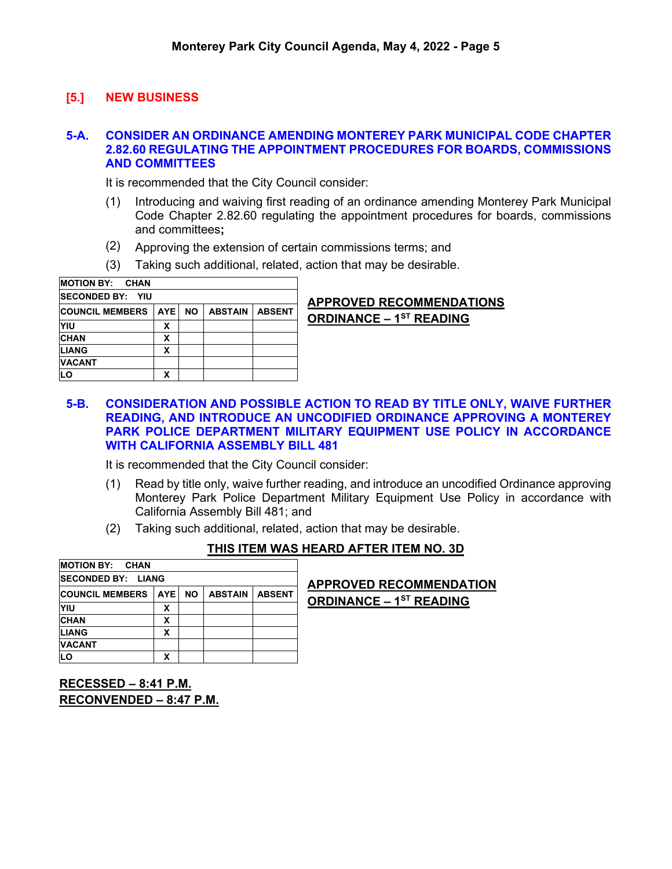# **[5.] NEW BUSINESS**

### **5-A. CONSIDER AN ORDINANCE AMENDING MONTEREY PARK MUNICIPAL CODE CHAPTER 2.82.60 REGULATING THE APPOINTMENT PROCEDURES FOR BOARDS, COMMISSIONS AND COMMITTEES**

It is recommended that the City Council consider:

- (1) Introducing and waiving first reading of an ordinance amending Monterey Park Municipal Code Chapter 2.82.60 regulating the appointment procedures for boards, commissions and committees**;**
- (2) Approving the extension of certain commissions terms; and
- (3) Taking such additional, related, action that may be desirable.

| <b>MOTION BY: CHAN</b>  |       |           |                |               |
|-------------------------|-------|-----------|----------------|---------------|
| <b>SECONDED BY: YIU</b> |       |           |                |               |
| <b>COUNCIL MEMBERS</b>  | AYE I | <b>NO</b> | <b>ABSTAIN</b> | <b>ABSENT</b> |
| YIU                     | х     |           |                |               |
| <b>CHAN</b>             | X     |           |                |               |
| <b>LIANG</b>            | x     |           |                |               |
| <b>VACANT</b>           |       |           |                |               |
| LO                      | x     |           |                |               |

# **APPROVED RECOMMENDATIONS ORDINANCE – 1ST READING**

**5-B. CONSIDERATION AND POSSIBLE ACTION TO READ BY TITLE ONLY, WAIVE FURTHER READING, AND INTRODUCE AN UNCODIFIED ORDINANCE APPROVING A MONTEREY PARK POLICE DEPARTMENT MILITARY EQUIPMENT USE POLICY IN ACCORDANCE WITH CALIFORNIA ASSEMBLY BILL 481**

It is recommended that the City Council consider:

- (1) Read by title only, waive further reading, and introduce an uncodified Ordinance approving Monterey Park Police Department Military Equipment Use Policy in accordance with California Assembly Bill 481; and
- (2) Taking such additional, related, action that may be desirable.

| <b>IMOTION BY: CHAN</b>           |                |                |               |                                |
|-----------------------------------|----------------|----------------|---------------|--------------------------------|
| <b>SECONDED BY: LIANG</b>         |                |                |               | <b>APPROVED RECOMMENDATION</b> |
| <b>COUNCIL MEMBERS   AYE   NO</b> |                | <b>ABSTAIN</b> | <b>ABSENT</b> | <b>ORDINANCE - 1ST READING</b> |
| YIU                               | х              |                |               |                                |
| <b>CHAN</b>                       | v<br>$\lambda$ |                |               |                                |
| <b>LIANG</b>                      | v<br>ᄉ         |                |               |                                |
| <b>VACANT</b>                     |                |                |               |                                |
| <b>LO</b>                         | х              |                |               |                                |

### **THIS ITEM WAS HEARD AFTER ITEM NO. 3D**

**RECESSED – 8:41 P.M. RECONVENDED – 8:47 P.M.**